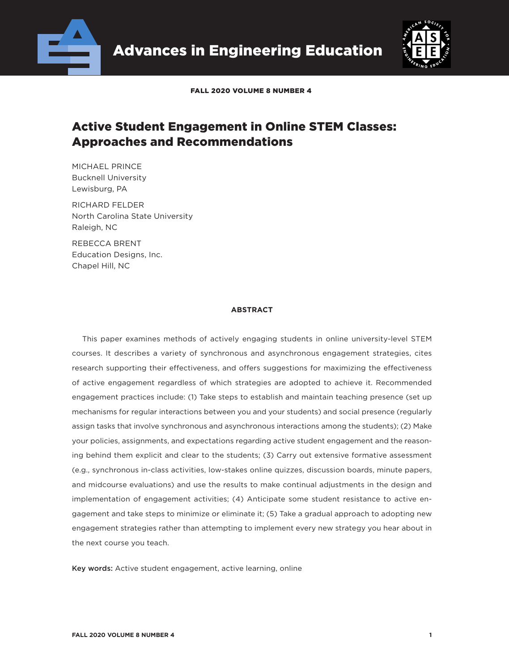



FALL 2020 VOLUME 8 NUMBER 4

# Active Student Engagement in Online STEM Classes: Approaches and Recommendations

MICHAEL PRINCE Bucknell University Lewisburg, PA

RICHARD FELDER North Carolina State University Raleigh, NC

REBECCA BRENT Education Designs, Inc. Chapel Hill, NC

### **ABSTRACT**

This paper examines methods of actively engaging students in online university-level STEM courses. It describes a variety of synchronous and asynchronous engagement strategies, cites research supporting their effectiveness, and offers suggestions for maximizing the effectiveness of active engagement regardless of which strategies are adopted to achieve it. Recommended engagement practices include: (1) Take steps to establish and maintain teaching presence (set up mechanisms for regular interactions between you and your students) and social presence (regularly assign tasks that involve synchronous and asynchronous interactions among the students); (2) Make your policies, assignments, and expectations regarding active student engagement and the reasoning behind them explicit and clear to the students; (3) Carry out extensive formative assessment (e.g., synchronous in-class activities, low-stakes online quizzes, discussion boards, minute papers, and midcourse evaluations) and use the results to make continual adjustments in the design and implementation of engagement activities; (4) Anticipate some student resistance to active engagement and take steps to minimize or eliminate it; (5) Take a gradual approach to adopting new engagement strategies rather than attempting to implement every new strategy you hear about in the next course you teach.

Key words: Active student engagement, active learning, online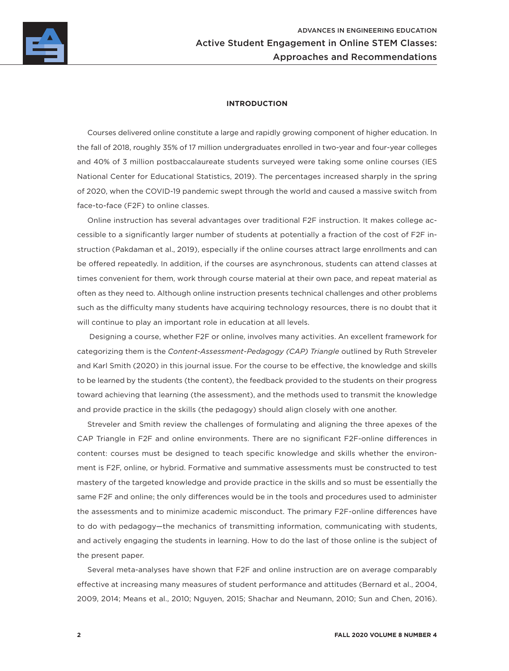

### **INTRODUCTION**

Courses delivered online constitute a large and rapidly growing component of higher education. In the fall of 2018, roughly 35% of 17 million undergraduates enrolled in two-year and four-year colleges and 40% of 3 million postbaccalaureate students surveyed were taking some online courses (IES National Center for Educational Statistics, 2019). The percentages increased sharply in the spring of 2020, when the COVID-19 pandemic swept through the world and caused a massive switch from face-to-face (F2F) to online classes.

Online instruction has several advantages over traditional F2F instruction. It makes college accessible to a significantly larger number of students at potentially a fraction of the cost of F2F instruction (Pakdaman et al., 2019), especially if the online courses attract large enrollments and can be offered repeatedly. In addition, if the courses are asynchronous, students can attend classes at times convenient for them, work through course material at their own pace, and repeat material as often as they need to. Although online instruction presents technical challenges and other problems such as the difficulty many students have acquiring technology resources, there is no doubt that it will continue to play an important role in education at all levels.

 Designing a course, whether F2F or online, involves many activities. An excellent framework for categorizing them is the *Content-Assessment-Pedagogy (CAP) Triangle* outlined by Ruth Streveler and Karl Smith (2020) in this journal issue. For the course to be effective, the knowledge and skills to be learned by the students (the content), the feedback provided to the students on their progress toward achieving that learning (the assessment), and the methods used to transmit the knowledge and provide practice in the skills (the pedagogy) should align closely with one another.

Streveler and Smith review the challenges of formulating and aligning the three apexes of the CAP Triangle in F2F and online environments. There are no significant F2F-online differences in content: courses must be designed to teach specific knowledge and skills whether the environment is F2F, online, or hybrid. Formative and summative assessments must be constructed to test mastery of the targeted knowledge and provide practice in the skills and so must be essentially the same F2F and online; the only differences would be in the tools and procedures used to administer the assessments and to minimize academic misconduct. The primary F2F-online differences have to do with pedagogy—the mechanics of transmitting information, communicating with students, and actively engaging the students in learning. How to do the last of those online is the subject of the present paper.

Several meta-analyses have shown that F2F and online instruction are on average comparably effective at increasing many measures of student performance and attitudes (Bernard et al., 2004, 2009, 2014; Means et al., 2010; Nguyen, 2015; Shachar and Neumann, 2010; Sun and Chen, 2016).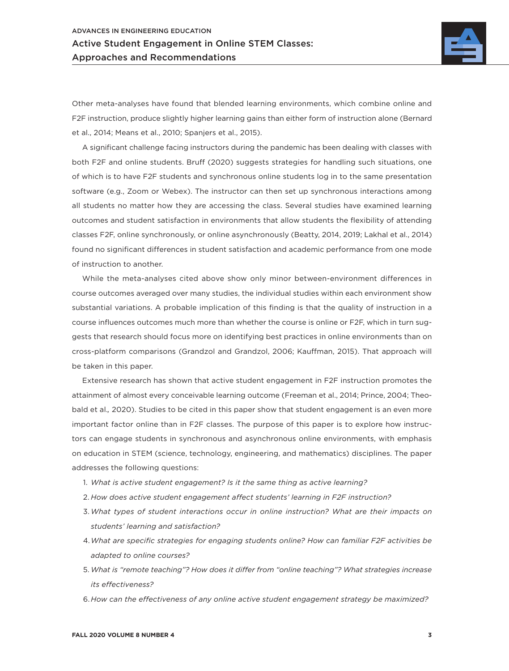

Other meta-analyses have found that blended learning environments, which combine online and F2F instruction, produce slightly higher learning gains than either form of instruction alone (Bernard et al., 2014; Means et al., 2010; Spanjers et al., 2015).

A significant challenge facing instructors during the pandemic has been dealing with classes with both F2F and online students. Bruff (2020) suggests strategies for handling such situations, one of which is to have F2F students and synchronous online students log in to the same presentation software (e.g., Zoom or Webex). The instructor can then set up synchronous interactions among all students no matter how they are accessing the class. Several studies have examined learning outcomes and student satisfaction in environments that allow students the flexibility of attending classes F2F, online synchronously, or online asynchronously (Beatty, 2014, 2019; Lakhal et al., 2014) found no significant differences in student satisfaction and academic performance from one mode of instruction to another.

While the meta-analyses cited above show only minor between-environment differences in course outcomes averaged over many studies, the individual studies within each environment show substantial variations. A probable implication of this finding is that the quality of instruction in a course influences outcomes much more than whether the course is online or F2F, which in turn suggests that research should focus more on identifying best practices in online environments than on cross-platform comparisons (Grandzol and Grandzol, 2006; Kauffman, 2015). That approach will be taken in this paper.

Extensive research has shown that active student engagement in F2F instruction promotes the attainment of almost every conceivable learning outcome (Freeman et al., 2014; Prince, 2004; Theobald et al.*,* 2020). Studies to be cited in this paper show that student engagement is an even more important factor online than in F2F classes. The purpose of this paper is to explore how instructors can engage students in synchronous and asynchronous online environments, with emphasis on education in STEM (science, technology, engineering, and mathematics) disciplines. The paper addresses the following questions:

- 1. *What is active student engagement? Is it the same thing as active learning?*
- 2. *How does active student engagement affect students' learning in F2F instruction?*
- 3. *What types of student interactions occur in online instruction? What are their impacts on students' learning and satisfaction?*
- 4.*What are specific strategies for engaging students online? How can familiar F2F activities be adapted to online courses?*
- 5. *What is "remote teaching"? How does it differ from "online teaching"? What strategies increase its effectiveness?*
- 6. *How can the effectiveness of any online active student engagement strategy be maximized?*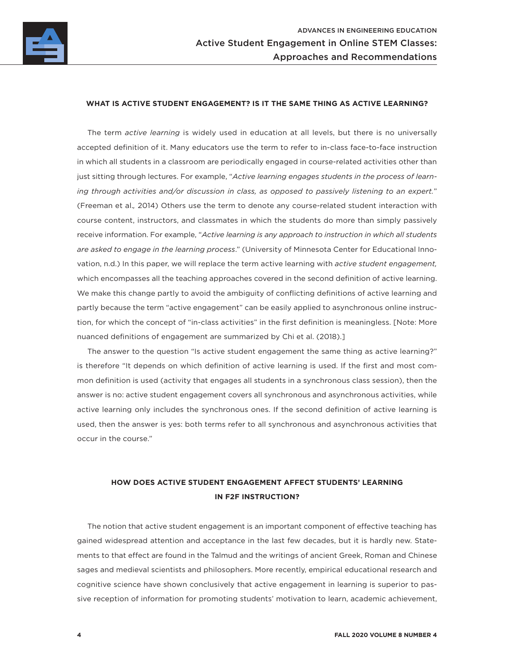

### **WHAT IS ACTIVE STUDENT ENGAGEMENT? IS IT THE SAME THING AS ACTIVE LEARNING?**

The term *active learning* is widely used in education at all levels, but there is no universally accepted definition of it. Many educators use the term to refer to in-class face-to-face instruction in which all students in a classroom are periodically engaged in course-related activities other than just sitting through lectures. For example, "*Active learning engages students in the process of learning through activities and/or discussion in class, as opposed to passively listening to an expert.*" (Freeman et al.*,* 2014) Others use the term to denote any course-related student interaction with course content, instructors, and classmates in which the students do more than simply passively receive information. For example, "*Active learning is any approach to instruction in which all students are asked to engage in the learning process*." (University of Minnesota Center for Educational Innovation, n.d.) In this paper, we will replace the term active learning with *active student engagement,* which encompasses all the teaching approaches covered in the second definition of active learning. We make this change partly to avoid the ambiguity of conflicting definitions of active learning and partly because the term "active engagement" can be easily applied to asynchronous online instruction, for which the concept of "in-class activities" in the first definition is meaningless. [Note: More nuanced definitions of engagement are summarized by Chi et al. (2018).]

The answer to the question "Is active student engagement the same thing as active learning?" is therefore "It depends on which definition of active learning is used. If the first and most common definition is used (activity that engages all students in a synchronous class session), then the answer is no: active student engagement covers all synchronous and asynchronous activities, while active learning only includes the synchronous ones. If the second definition of active learning is used, then the answer is yes: both terms refer to all synchronous and asynchronous activities that occur in the course."

# **HOW DOES ACTIVE STUDENT ENGAGEMENT AFFECT STUDENTS' LEARNING IN F2F INSTRUCTION?**

The notion that active student engagement is an important component of effective teaching has gained widespread attention and acceptance in the last few decades, but it is hardly new. Statements to that effect are found in the Talmud and the writings of ancient Greek, Roman and Chinese sages and medieval scientists and philosophers. More recently, empirical educational research and cognitive science have shown conclusively that active engagement in learning is superior to passive reception of information for promoting students' motivation to learn, academic achievement,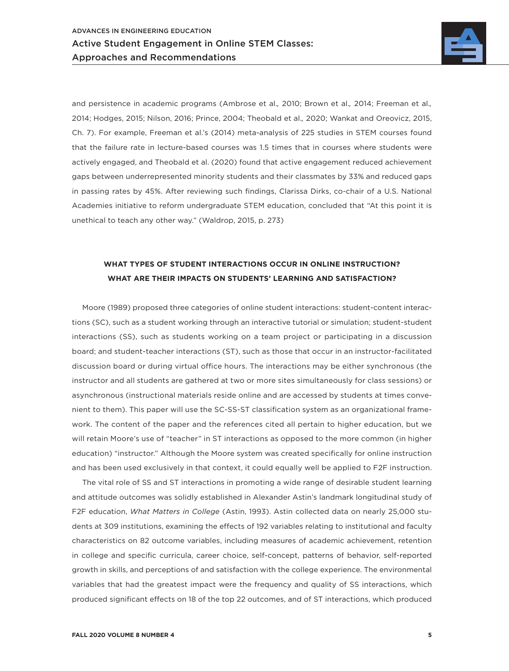

and persistence in academic programs (Ambrose et al.*,* 2010; Brown et al.*,* 2014; Freeman et al.*,*  2014; Hodges, 2015; Nilson, 2016; Prince, 2004; Theobald et al.*,* 2020; Wankat and Oreovicz, 2015, Ch. 7). For example, Freeman et al.'s (2014) meta-analysis of 225 studies in STEM courses found that the failure rate in lecture-based courses was 1.5 times that in courses where students were actively engaged, and Theobald et al. (2020) found that active engagement reduced achievement gaps between underrepresented minority students and their classmates by 33% and reduced gaps in passing rates by 45%. After reviewing such findings, Clarissa Dirks, co-chair of a U.S. National Academies initiative to reform undergraduate STEM education, concluded that "At this point it is unethical to teach any other way." (Waldrop, 2015, p. 273)

### **WHAT TYPES OF STUDENT INTERACTIONS OCCUR IN ONLINE INSTRUCTION? WHAT ARE THEIR IMPACTS ON STUDENTS' LEARNING AND SATISFACTION?**

Moore (1989) proposed three categories of online student interactions: student-content interactions (SC), such as a student working through an interactive tutorial or simulation; student-student interactions (SS), such as students working on a team project or participating in a discussion board; and student-teacher interactions (ST), such as those that occur in an instructor-facilitated discussion board or during virtual office hours. The interactions may be either synchronous (the instructor and all students are gathered at two or more sites simultaneously for class sessions) or asynchronous (instructional materials reside online and are accessed by students at times convenient to them). This paper will use the SC-SS-ST classification system as an organizational framework. The content of the paper and the references cited all pertain to higher education, but we will retain Moore's use of "teacher" in ST interactions as opposed to the more common (in higher education) "instructor." Although the Moore system was created specifically for online instruction and has been used exclusively in that context, it could equally well be applied to F2F instruction.

The vital role of SS and ST interactions in promoting a wide range of desirable student learning and attitude outcomes was solidly established in Alexander Astin's landmark longitudinal study of F2F education, *What Matters in College* (Astin, 1993). Astin collected data on nearly 25,000 students at 309 institutions, examining the effects of 192 variables relating to institutional and faculty characteristics on 82 outcome variables, including measures of academic achievement, retention in college and specific curricula, career choice, self-concept, patterns of behavior, self-reported growth in skills, and perceptions of and satisfaction with the college experience. The environmental variables that had the greatest impact were the frequency and quality of SS interactions, which produced significant effects on 18 of the top 22 outcomes, and of ST interactions, which produced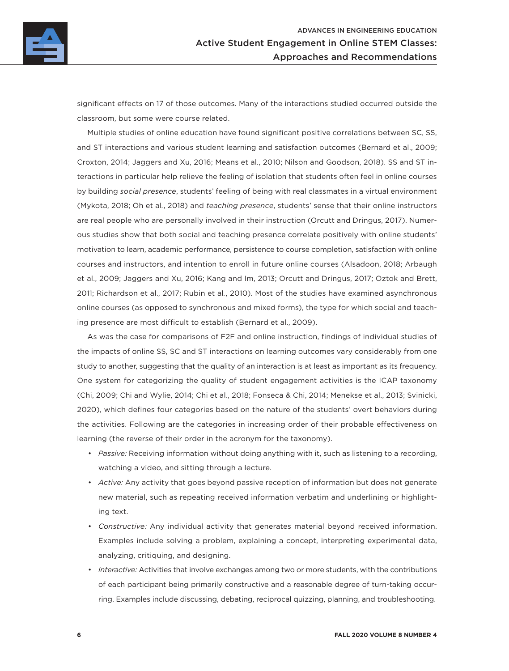

significant effects on 17 of those outcomes. Many of the interactions studied occurred outside the classroom, but some were course related.

Multiple studies of online education have found significant positive correlations between SC, SS, and ST interactions and various student learning and satisfaction outcomes (Bernard et al., 2009; Croxton, 2014; Jaggers and Xu, 2016; Means et al*.*, 2010; Nilson and Goodson, 2018). SS and ST interactions in particular help relieve the feeling of isolation that students often feel in online courses by building *social presence*, students' feeling of being with real classmates in a virtual environment (Mykota, 2018; Oh et al*.*, 2018) and *teaching presence*, students' sense that their online instructors are real people who are personally involved in their instruction (Orcutt and Dringus, 2017). Numerous studies show that both social and teaching presence correlate positively with online students' motivation to learn, academic performance, persistence to course completion, satisfaction with online courses and instructors, and intention to enroll in future online courses (Alsadoon, 2018; Arbaugh et al., 2009; Jaggers and Xu, 2016; Kang and Im, 2013; Orcutt and Dringus, 2017; Oztok and Brett, 2011; Richardson et al., 2017; Rubin et al*.*, 2010). Most of the studies have examined asynchronous online courses (as opposed to synchronous and mixed forms), the type for which social and teaching presence are most difficult to establish (Bernard et al., 2009).

As was the case for comparisons of F2F and online instruction, findings of individual studies of the impacts of online SS, SC and ST interactions on learning outcomes vary considerably from one study to another, suggesting that the quality of an interaction is at least as important as its frequency. One system for categorizing the quality of student engagement activities is the ICAP taxonomy (Chi, 2009; Chi and Wylie, 2014; Chi et al., 2018; Fonseca & Chi, 2014; Menekse et al., 2013; Svinicki, 2020), which defines four categories based on the nature of the students' overt behaviors during the activities. Following are the categories in increasing order of their probable effectiveness on learning (the reverse of their order in the acronym for the taxonomy).

- *Passive:* Receiving information without doing anything with it, such as listening to a recording, watching a video, and sitting through a lecture.
- *Active:* Any activity that goes beyond passive reception of information but does not generate new material, such as repeating received information verbatim and underlining or highlighting text.
- *Constructive:* Any individual activity that generates material beyond received information. Examples include solving a problem, explaining a concept, interpreting experimental data, analyzing, critiquing, and designing.
- *Interactive:* Activities that involve exchanges among two or more students, with the contributions of each participant being primarily constructive and a reasonable degree of turn-taking occurring. Examples include discussing, debating, reciprocal quizzing, planning, and troubleshooting.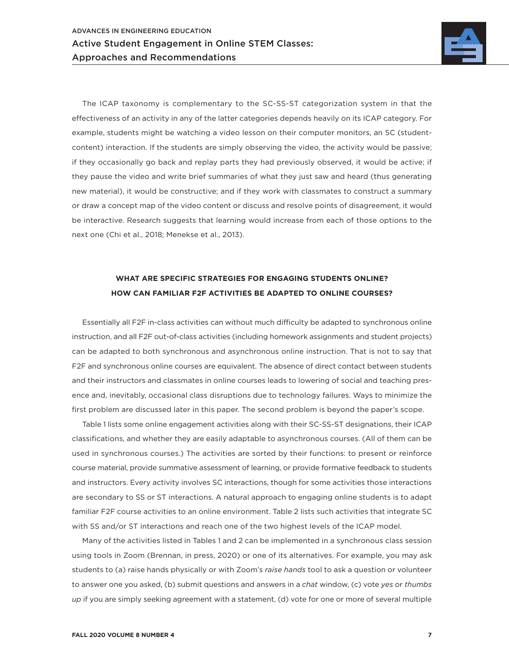

The ICAP taxonomy is complementary to the SC-SS-ST categorization system in that the effectiveness of an activity in any of the latter categories depends heavily on its ICAP category. For example, students might be watching a video lesson on their computer monitors, an SC (studentcontent) interaction. If the students are simply observing the video, the activity would be passive; if they occasionally go back and replay parts they had previously observed, it would be active; if they pause the video and write brief summaries of what they just saw and heard (thus generating new material), it would be constructive; and if they work with classmates to construct a summary or draw a concept map of the video content or discuss and resolve points of disagreement, it would be interactive. Research suggests that learning would increase from each of those options to the next one (Chi et al., 2018; Menekse et al., 2013).

### **WHAT ARE SPECIFIC STRATEGIES FOR ENGAGING STUDENTS ONLINE? HOW CAN FAMILIAR F2F ACTIVITIES BE ADAPTED TO ONLINE COURSES?**

Essentially all F2F in-class activities can without much difficulty be adapted to synchronous online instruction, and all F2F out-of-class activities (including homework assignments and student projects) can be adapted to both synchronous and asynchronous online instruction. That is not to say that F2F and synchronous online courses are equivalent. The absence of direct contact between students and their instructors and classmates in online courses leads to lowering of social and teaching presence and, inevitably, occasional class disruptions due to technology failures. Ways to minimize the first problem are discussed later in this paper. The second problem is beyond the paper's scope.

Table 1 lists some online engagement activities along with their SC-SS-ST designations, their ICAP classifications, and whether they are easily adaptable to asynchronous courses. (All of them can be used in synchronous courses.) The activities are sorted by their functions: to present or reinforce course material, provide summative assessment of learning, or provide formative feedback to students and instructors. Every activity involves SC interactions, though for some activities those interactions are secondary to SS or ST interactions. A natural approach to engaging online students is to adapt familiar F2F course activities to an online environment. Table 2 lists such activities that integrate SC with SS and/or ST interactions and reach one of the two highest levels of the ICAP model.

Many of the activities listed in Tables 1 and 2 can be implemented in a synchronous class session using tools in Zoom (Brennan, in press, 2020) or one of its alternatives. For example, you may ask students to (a) raise hands physically or with Zoom's *raise hands* tool to ask a question or volunteer to answer one you asked, (b) submit questions and answers in a *chat* window, (c) vote *yes* or *thumbs up* if you are simply seeking agreement with a statement, (d) vote for one or more of several multiple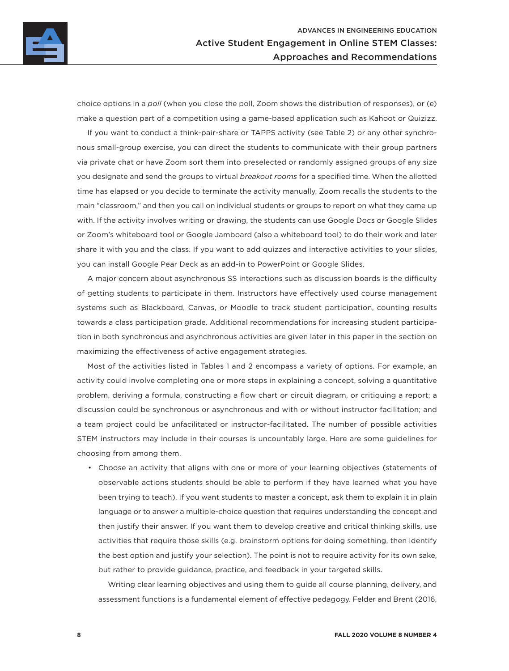

choice options in a *poll* (when you close the poll, Zoom shows the distribution of responses), or (e) make a question part of a competition using a game-based application such as Kahoot or Quizizz.

If you want to conduct a think-pair-share or TAPPS activity (see Table 2) or any other synchronous small-group exercise, you can direct the students to communicate with their group partners via private chat or have Zoom sort them into preselected or randomly assigned groups of any size you designate and send the groups to virtual *breakout rooms* for a specified time. When the allotted time has elapsed or you decide to terminate the activity manually, Zoom recalls the students to the main "classroom," and then you call on individual students or groups to report on what they came up with. If the activity involves writing or drawing, the students can use Google Docs or Google Slides or Zoom's whiteboard tool or Google Jamboard (also a whiteboard tool) to do their work and later share it with you and the class. If you want to add quizzes and interactive activities to your slides, you can install Google Pear Deck as an add-in to PowerPoint or Google Slides.

A major concern about asynchronous SS interactions such as discussion boards is the difficulty of getting students to participate in them. Instructors have effectively used course management systems such as Blackboard, Canvas, or Moodle to track student participation, counting results towards a class participation grade. Additional recommendations for increasing student participation in both synchronous and asynchronous activities are given later in this paper in the section on maximizing the effectiveness of active engagement strategies.

Most of the activities listed in Tables 1 and 2 encompass a variety of options. For example, an activity could involve completing one or more steps in explaining a concept, solving a quantitative problem, deriving a formula, constructing a flow chart or circuit diagram, or critiquing a report; a discussion could be synchronous or asynchronous and with or without instructor facilitation; and a team project could be unfacilitated or instructor-facilitated. The number of possible activities STEM instructors may include in their courses is uncountably large. Here are some guidelines for choosing from among them.

• Choose an activity that aligns with one or more of your learning objectives (statements of observable actions students should be able to perform if they have learned what you have been trying to teach). If you want students to master a concept, ask them to explain it in plain language or to answer a multiple-choice question that requires understanding the concept and then justify their answer. If you want them to develop creative and critical thinking skills, use activities that require those skills (e.g. brainstorm options for doing something, then identify the best option and justify your selection). The point is not to require activity for its own sake, but rather to provide guidance, practice, and feedback in your targeted skills.

Writing clear learning objectives and using them to guide all course planning, delivery, and assessment functions is a fundamental element of effective pedagogy. Felder and Brent (2016,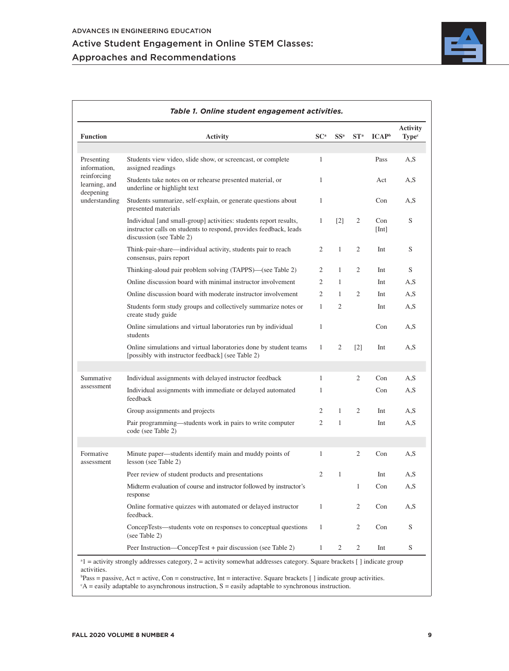

| <b>Function</b>                           | <b>Activity</b>                                                                                                                                                    | SC <sup>a</sup> | SS <sup>a</sup>   | ST <sup>a</sup>   | $\mathbf{ICAP}^{\mathrm{b}}$ | <b>Activity</b><br><b>Type</b> <sup>c</sup> |
|-------------------------------------------|--------------------------------------------------------------------------------------------------------------------------------------------------------------------|-----------------|-------------------|-------------------|------------------------------|---------------------------------------------|
|                                           |                                                                                                                                                                    |                 |                   |                   |                              |                                             |
| Presenting<br>information,                | Students view video, slide show, or screencast, or complete<br>assigned readings                                                                                   | 1               |                   |                   | Pass                         | A, S                                        |
| reinforcing<br>learning, and<br>deepening | Students take notes on or rehearse presented material, or<br>underline or highlight text                                                                           | $\mathbf{1}$    |                   |                   | Act                          | A,S                                         |
| understanding                             | Students summarize, self-explain, or generate questions about<br>presented materials                                                                               | $\mathbf{1}$    |                   |                   | Con                          | A, S                                        |
|                                           | Individual [and small-group] activities: students report results,<br>instructor calls on students to respond, provides feedback, leads<br>discussion (see Table 2) | $\mathbf{1}$    | $\lceil 2 \rceil$ | 2                 | Con<br>[Int]                 | S                                           |
|                                           | Think-pair-share—individual activity, students pair to reach<br>consensus, pairs report                                                                            | $\overline{2}$  | $\mathbf{1}$      | 2                 | Int                          | S                                           |
|                                           | Thinking-aloud pair problem solving (TAPPS)—(see Table 2)                                                                                                          | $\overline{2}$  | $\mathbf{1}$      | $\overline{2}$    | Int                          | S                                           |
|                                           | Online discussion board with minimal instructor involvement                                                                                                        | 2               | $\mathbf{1}$      |                   | Int                          | A, S                                        |
|                                           | Online discussion board with moderate instructor involvement                                                                                                       | $\overline{2}$  | $\mathbf{1}$      | 2                 | Int                          | A, S                                        |
|                                           | Students form study groups and collectively summarize notes or<br>create study guide                                                                               | $\mathbf{1}$    | 2                 |                   | Int                          | A,S                                         |
|                                           | Online simulations and virtual laboratories run by individual<br>students                                                                                          | $\mathbf{1}$    |                   |                   | Con                          | A,S                                         |
|                                           | Online simulations and virtual laboratories done by student teams<br>[possibly with instructor feedback] (see Table 2)                                             | $\mathbf{1}$    | 2                 | $\lceil 2 \rceil$ | Int                          | A, S                                        |
|                                           |                                                                                                                                                                    |                 |                   |                   |                              |                                             |
| Summative                                 | Individual assignments with delayed instructor feedback                                                                                                            | $\mathbf{1}$    |                   | $\overline{2}$    | Con                          | A, S                                        |
| assessment                                | Individual assignments with immediate or delayed automated<br>feedback                                                                                             | $\mathbf{1}$    |                   |                   | Con                          | A,S                                         |
|                                           | Group assignments and projects                                                                                                                                     | 2               | $\mathbf{1}$      | 2                 | Int                          | A,S                                         |
|                                           | Pair programming—students work in pairs to write computer<br>code (see Table 2)                                                                                    | 2               | $\mathbf{1}$      |                   | Int                          | A, S                                        |
|                                           |                                                                                                                                                                    |                 |                   |                   |                              |                                             |
| Formative<br>assessment                   | Minute paper—students identify main and muddy points of<br>lesson (see Table 2)                                                                                    | $\mathbf{1}$    |                   | $\overline{2}$    | Con                          | A.S                                         |
|                                           | Peer review of student products and presentations                                                                                                                  | 2               | $\mathbf{1}$      |                   | Int                          | A,S                                         |
|                                           | Midterm evaluation of course and instructor followed by instructor's<br>response                                                                                   |                 |                   | $\mathbf{1}$      | Con                          | A, S                                        |
|                                           | Online formative quizzes with automated or delayed instructor<br>feedback.                                                                                         | $\mathbf{1}$    |                   | 2                 | Con                          | A,S                                         |
|                                           | ConcepTests—students vote on responses to conceptual questions<br>(see Table 2)                                                                                    | 1               |                   | 2                 | Con                          | S                                           |
|                                           | Peer Instruction—ConcepTest + pair discussion (see Table 2)                                                                                                        | $\mathbf{1}$    | 2                 | $\overline{2}$    | Int                          | S                                           |

activities.

 $b$ Pass = passive, Act = active, Con = constructive, Int = interactive. Square brackets [] indicate group activities.

 $c^c A$  = easily adaptable to asynchronous instruction,  $S$  = easily adaptable to synchronous instruction.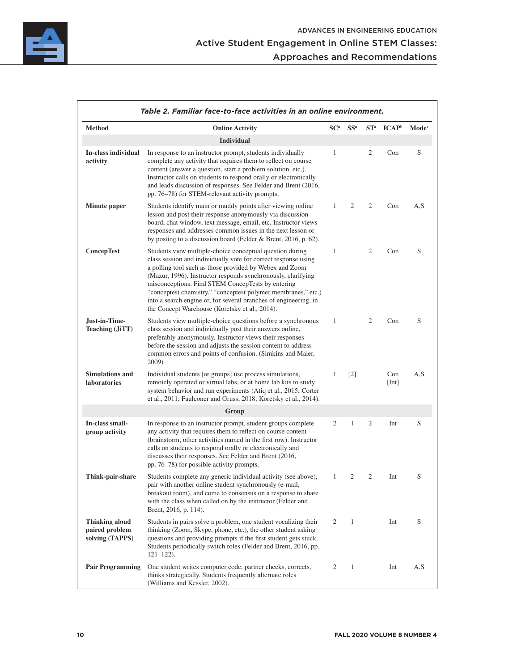

|                                                            | Table 2. Familiar face-to-face activities in an online environment.                                                                                                                                                                                                                                                                                                                                                                                                                               |                 |                   |        |                              |                   |
|------------------------------------------------------------|---------------------------------------------------------------------------------------------------------------------------------------------------------------------------------------------------------------------------------------------------------------------------------------------------------------------------------------------------------------------------------------------------------------------------------------------------------------------------------------------------|-----------------|-------------------|--------|------------------------------|-------------------|
| <b>Method</b>                                              | <b>Online Activity</b>                                                                                                                                                                                                                                                                                                                                                                                                                                                                            | SC <sup>a</sup> | SS <sup>a</sup>   | $ST^a$ | $\mathbf{ICAP}^{\mathrm{b}}$ | Mode <sup>c</sup> |
|                                                            | <b>Individual</b>                                                                                                                                                                                                                                                                                                                                                                                                                                                                                 |                 |                   |        |                              |                   |
| In-class individual<br>activity                            | In response to an instructor prompt, students individually<br>complete any activity that requires them to reflect on course<br>content (answer a question, start a problem solution, etc.).<br>Instructor calls on students to respond orally or electronically<br>and leads discussion of responses. See Felder and Brent (2016,<br>pp. 76–78) for STEM-relevant activity prompts.                                                                                                               | 1               |                   | 2      | Con                          | S                 |
| Minute paper                                               | Students identify main or muddy points after viewing online<br>lesson and post their response anonymously via discussion<br>board, chat window, text message, email, etc. Instructor views<br>responses and addresses common issues in the next lesson or<br>by posting to a discussion board (Felder & Brent, 2016, p. 62).                                                                                                                                                                      | $\mathbf{1}$    | 2                 | 2      | Con                          | A,S               |
| <b>ConcepTest</b>                                          | Students view multiple-choice conceptual question during<br>class session and individually vote for correct response using<br>a polling tool such as those provided by Webex and Zoom<br>(Mazur, 1996). Instructor responds synchronously, clarifying<br>misconceptions. Find STEM ConcepTests by entering<br>"conceptest chemistry," "conceptest polymer membranes," etc.)<br>into a search engine or, for several branches of engineering, in<br>the Concept Warehouse (Koretsky et al., 2014). | $\mathbf{1}$    |                   | 2      | Con                          | S                 |
| Just-in-Time-<br>Teaching (JiTT)                           | Students view multiple-choice questions before a synchronous<br>class session and individually post their answers online,<br>preferably anonymously. Instructor views their responses<br>before the session and adjusts the session content to address<br>common errors and points of confusion. (Simkins and Maier,<br>2009)                                                                                                                                                                     | 1               |                   | 2      | Con                          | S                 |
| <b>Simulations and</b><br>laboratories                     | Individual students [or groups] use process simulations,<br>remotely operated or virtual labs, or at home lab kits to study<br>system behavior and run experiments (Atiq et al., 2015; Corter<br>et al., 2011; Faulconer and Gruss, 2018; Koretsky et al., 2014).                                                                                                                                                                                                                                 | 1               | $\lceil 2 \rceil$ |        | Con<br>[Int]                 | A,S               |
|                                                            | Group                                                                                                                                                                                                                                                                                                                                                                                                                                                                                             |                 |                   |        |                              |                   |
| In-class small-<br>group activity                          | In response to an instructor prompt, student groups complete<br>any activity that requires them to reflect on course content<br>(brainstorm, other activities named in the first row). Instructor<br>calls on students to respond orally or electronically and<br>discusses their responses. See Felder and Brent (2016,<br>pp. 76–78) for possible activity prompts.                                                                                                                             | 2               | $\mathbf{1}$      | 2      | Int                          | S                 |
| Think-pair-share                                           | Students complete any generic individual activity (see above),<br>pair with another online student synchronously (e-mail,<br>breakout room), and come to consensus on a response to share<br>with the class when called on by the instructor (Felder and<br>Brent, 2016, p. 114).                                                                                                                                                                                                                 | 1               | 2                 | 2      | Int                          | S                 |
| <b>Thinking aloud</b><br>paired problem<br>solving (TAPPS) | Students in pairs solve a problem, one student vocalizing their<br>thinking (Zoom, Skype, phone, etc.), the other student asking<br>questions and providing prompts if the first student gets stuck.<br>Students periodically switch roles (Felder and Brent, 2016, pp.<br>$121 - 122$ ).                                                                                                                                                                                                         | 2               | 1                 |        | Int                          | S                 |
| <b>Pair Programming</b>                                    | One student writes computer code, partner checks, corrects,<br>thinks strategically. Students frequently alternate roles<br>(Williams and Kessler, 2002).                                                                                                                                                                                                                                                                                                                                         | 2               | $\mathbf{1}$      |        | Int                          | A,S               |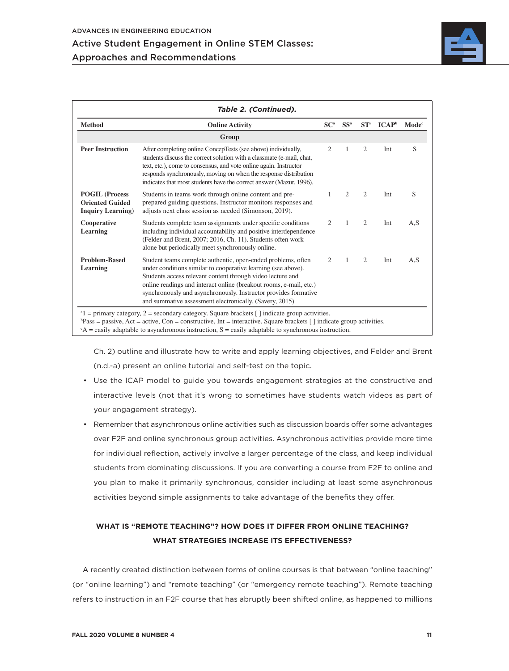

| <b>Method</b>                                                                 | <b>Online Activity</b>                                                                                                                                                                                                                                                                                                                                                                          | SC <sup>a</sup> | SS <sup>a</sup> | $ST^a$                      | $\mathbf{ICAP}^{\rm b}$ | Mode <sup>c</sup> |
|-------------------------------------------------------------------------------|-------------------------------------------------------------------------------------------------------------------------------------------------------------------------------------------------------------------------------------------------------------------------------------------------------------------------------------------------------------------------------------------------|-----------------|-----------------|-----------------------------|-------------------------|-------------------|
|                                                                               | Group                                                                                                                                                                                                                                                                                                                                                                                           |                 |                 |                             |                         |                   |
| <b>Peer Instruction</b>                                                       | After completing online ConcepTests (see above) individually,<br>students discuss the correct solution with a classmate (e-mail, chat,<br>text, etc.), come to consensus, and vote online again. Instructor<br>responds synchronously, moving on when the response distribution<br>indicates that most students have the correct answer (Mazur, 1996).                                          | 2               | 1               | $\overline{2}$              | Int                     | S                 |
| <b>POGIL (Process)</b><br><b>Oriented Guided</b><br><b>Inquiry Learning</b> ) | Students in teams work through online content and pre-<br>prepared guiding questions. Instructor monitors responses and<br>adjusts next class session as needed (Simonson, 2019).                                                                                                                                                                                                               | 1               | $\overline{c}$  | $\overline{2}$              | Int                     | S                 |
| Cooperative<br>Learning                                                       | Students complete team assignments under specific conditions<br>including individual accountability and positive interdependence<br>(Felder and Brent, 2007; 2016, Ch. 11). Students often work<br>alone but periodically meet synchronously online.                                                                                                                                            | 2               | 1               | $\overline{2}$              | Int                     | A.S               |
| <b>Problem-Based</b><br>Learning                                              | Student teams complete authentic, open-ended problems, often<br>under conditions similar to cooperative learning (see above).<br>Students access relevant content through video lecture and<br>online readings and interact online (breakout rooms, e-mail, etc.)<br>synchronously and asynchronously. Instructor provides formative<br>and summative assessment electronically. (Savery, 2015) | $\mathfrak{2}$  | 1               | $\mathcal{D}_{\mathcal{L}}$ | Int                     | A,S               |

Ch. 2) outline and illustrate how to write and apply learning objectives, and Felder and Brent (n.d.-a) present an online tutorial and self-test on the topic.

- Use the ICAP model to guide you towards engagement strategies at the constructive and interactive levels (not that it's wrong to sometimes have students watch videos as part of your engagement strategy).
- Remember that asynchronous online activities such as discussion boards offer some advantages over F2F and online synchronous group activities. Asynchronous activities provide more time for individual reflection, actively involve a larger percentage of the class, and keep individual students from dominating discussions. If you are converting a course from F2F to online and you plan to make it primarily synchronous, consider including at least some asynchronous activities beyond simple assignments to take advantage of the benefits they offer.

# **WHAT IS "REMOTE TEACHING"? HOW DOES IT DIFFER FROM ONLINE TEACHING? WHAT STRATEGIES INCREASE ITS EFFECTIVENESS?**

A recently created distinction between forms of online courses is that between "online teaching" (or "online learning") and "remote teaching" (or "emergency remote teaching"). Remote teaching refers to instruction in an F2F course that has abruptly been shifted online, as happened to millions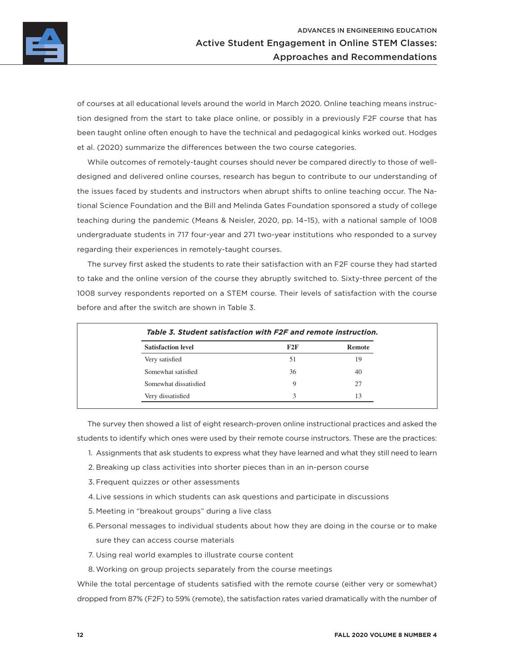

of courses at all educational levels around the world in March 2020. Online teaching means instruction designed from the start to take place online, or possibly in a previously F2F course that has been taught online often enough to have the technical and pedagogical kinks worked out. Hodges et al. (2020) summarize the differences between the two course categories.

While outcomes of remotely-taught courses should never be compared directly to those of welldesigned and delivered online courses, research has begun to contribute to our understanding of the issues faced by students and instructors when abrupt shifts to online teaching occur. The National Science Foundation and the Bill and Melinda Gates Foundation sponsored a study of college teaching during the pandemic (Means & Neisler, 2020, pp. 14–15), with a national sample of 1008 undergraduate students in 717 four-year and 271 two-year institutions who responded to a survey regarding their experiences in remotely-taught courses.

The survey first asked the students to rate their satisfaction with an F2F course they had started to take and the online version of the course they abruptly switched to. Sixty-three percent of the 1008 survey respondents reported on a STEM course. Their levels of satisfaction with the course before and after the switch are shown in Table 3.

| <b>Satisfaction level</b> | F2F | Remote |  |
|---------------------------|-----|--------|--|
| Very satisfied            | 51  | 19     |  |
| Somewhat satisfied        | 36  | 40     |  |
| Somewhat dissatisfied     | 9   | 27     |  |
| Very dissatisfied         | 3   | 13     |  |

The survey then showed a list of eight research-proven online instructional practices and asked the students to identify which ones were used by their remote course instructors. These are the practices:

- 1. Assignments that ask students to express what they have learned and what they still need to learn
- 2. Breaking up class activities into shorter pieces than in an in-person course
- 3. Frequent quizzes or other assessments
- 4.Live sessions in which students can ask questions and participate in discussions
- 5. Meeting in "breakout groups" during a live class
- 6.Personal messages to individual students about how they are doing in the course or to make sure they can access course materials
- 7. Using real world examples to illustrate course content
- 8.Working on group projects separately from the course meetings

While the total percentage of students satisfied with the remote course (either very or somewhat) dropped from 87% (F2F) to 59% (remote), the satisfaction rates varied dramatically with the number of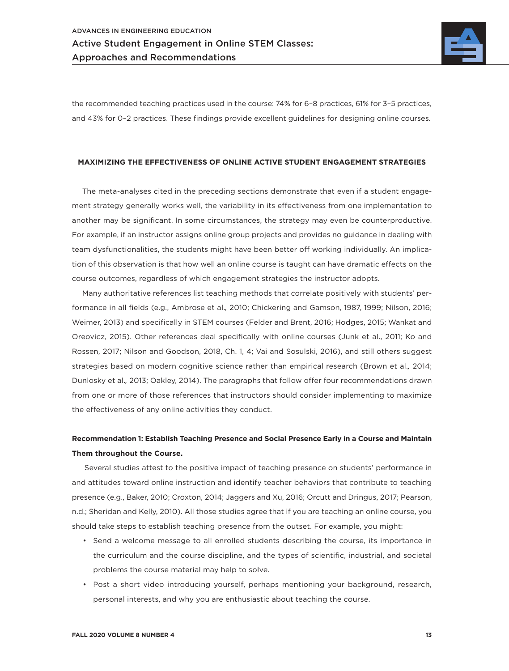

the recommended teaching practices used in the course: 74% for 6–8 practices, 61% for 3–5 practices, and 43% for 0–2 practices. These findings provide excellent guidelines for designing online courses.

### **MAXIMIZING THE EFFECTIVENESS OF ONLINE ACTIVE STUDENT ENGAGEMENT STRATEGIES**

The meta-analyses cited in the preceding sections demonstrate that even if a student engagement strategy generally works well, the variability in its effectiveness from one implementation to another may be significant. In some circumstances, the strategy may even be counterproductive. For example, if an instructor assigns online group projects and provides no guidance in dealing with team dysfunctionalities, the students might have been better off working individually. An implication of this observation is that how well an online course is taught can have dramatic effects on the course outcomes, regardless of which engagement strategies the instructor adopts.

Many authoritative references list teaching methods that correlate positively with students' performance in all fields (e.g., Ambrose et al.*,* 2010; Chickering and Gamson, 1987, 1999; Nilson, 2016; Weimer, 2013) and specifically in STEM courses (Felder and Brent, 2016; Hodges, 2015; Wankat and Oreovicz, 2015). Other references deal specifically with online courses (Junk et al., 2011; Ko and Rossen, 2017; Nilson and Goodson, 2018, Ch. 1, 4; Vai and Sosulski, 2016), and still others suggest strategies based on modern cognitive science rather than empirical research (Brown et al.*,* 2014; Dunlosky et al.*,* 2013; Oakley, 2014). The paragraphs that follow offer four recommendations drawn from one or more of those references that instructors should consider implementing to maximize the effectiveness of any online activities they conduct.

### **Recommendation 1: Establish Teaching Presence and Social Presence Early in a Course and Maintain Them throughout the Course.**

Several studies attest to the positive impact of teaching presence on students' performance in and attitudes toward online instruction and identify teacher behaviors that contribute to teaching presence (e.g., Baker, 2010; Croxton, 2014; Jaggers and Xu, 2016; Orcutt and Dringus, 2017; Pearson, n.d.; Sheridan and Kelly, 2010). All those studies agree that if you are teaching an online course, you should take steps to establish teaching presence from the outset. For example, you might:

- Send a welcome message to all enrolled students describing the course, its importance in the curriculum and the course discipline, and the types of scientific, industrial, and societal problems the course material may help to solve.
- Post a short video introducing yourself, perhaps mentioning your background, research, personal interests, and why you are enthusiastic about teaching the course.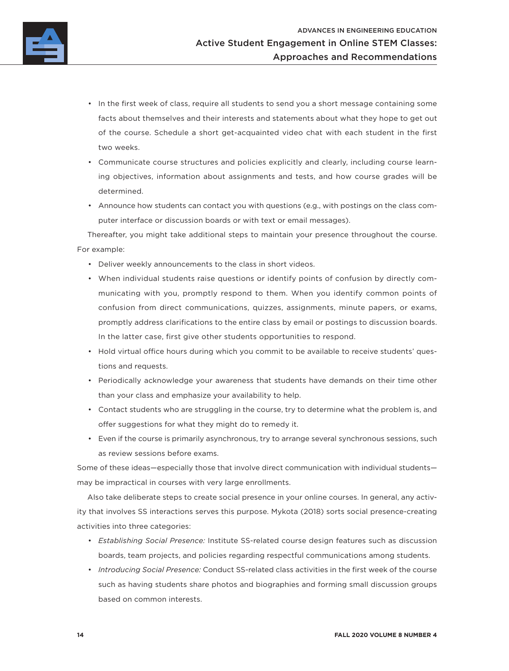

- In the first week of class, require all students to send you a short message containing some facts about themselves and their interests and statements about what they hope to get out of the course. Schedule a short get-acquainted video chat with each student in the first two weeks.
- Communicate course structures and policies explicitly and clearly, including course learning objectives, information about assignments and tests, and how course grades will be determined.
- Announce how students can contact you with questions (e.g., with postings on the class computer interface or discussion boards or with text or email messages).

Thereafter, you might take additional steps to maintain your presence throughout the course. For example:

- Deliver weekly announcements to the class in short videos.
- When individual students raise questions or identify points of confusion by directly communicating with you, promptly respond to them. When you identify common points of confusion from direct communications, quizzes, assignments, minute papers, or exams, promptly address clarifications to the entire class by email or postings to discussion boards. In the latter case, first give other students opportunities to respond.
- Hold virtual office hours during which you commit to be available to receive students' questions and requests.
- Periodically acknowledge your awareness that students have demands on their time other than your class and emphasize your availability to help.
- Contact students who are struggling in the course, try to determine what the problem is, and offer suggestions for what they might do to remedy it.
- Even if the course is primarily asynchronous, try to arrange several synchronous sessions, such as review sessions before exams.

Some of these ideas—especially those that involve direct communication with individual students may be impractical in courses with very large enrollments.

Also take deliberate steps to create social presence in your online courses. In general, any activity that involves SS interactions serves this purpose. Mykota (2018) sorts social presence-creating activities into three categories:

- *Establishing Social Presence:* Institute SS-related course design features such as discussion boards, team projects, and policies regarding respectful communications among students.
- *Introducing Social Presence:* Conduct SS-related class activities in the first week of the course such as having students share photos and biographies and forming small discussion groups based on common interests.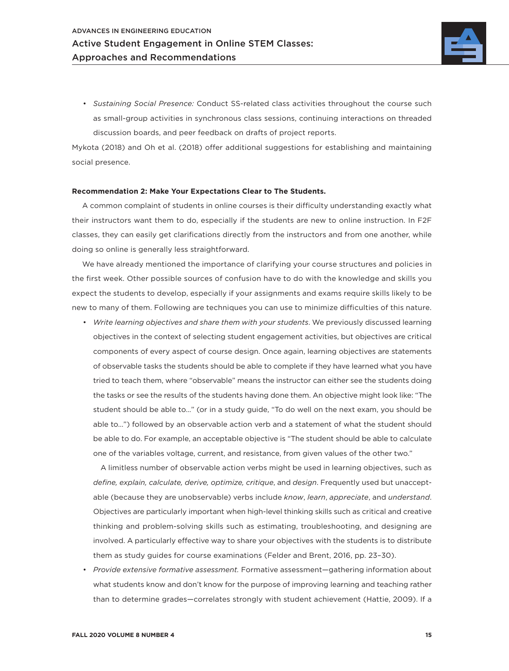

• *Sustaining Social Presence:* Conduct SS-related class activities throughout the course such as small-group activities in synchronous class sessions, continuing interactions on threaded discussion boards, and peer feedback on drafts of project reports.

Mykota (2018) and Oh et al. (2018) offer additional suggestions for establishing and maintaining social presence.

#### **Recommendation 2: Make Your Expectations Clear to The Students.**

A common complaint of students in online courses is their difficulty understanding exactly what their instructors want them to do, especially if the students are new to online instruction. In F2F classes, they can easily get clarifications directly from the instructors and from one another, while doing so online is generally less straightforward.

We have already mentioned the importance of clarifying your course structures and policies in the first week. Other possible sources of confusion have to do with the knowledge and skills you expect the students to develop, especially if your assignments and exams require skills likely to be new to many of them. Following are techniques you can use to minimize difficulties of this nature.

• *Write learning objectives and share them with your students*. We previously discussed learning objectives in the context of selecting student engagement activities, but objectives are critical components of every aspect of course design. Once again, learning objectives are statements of observable tasks the students should be able to complete if they have learned what you have tried to teach them, where "observable" means the instructor can either see the students doing the tasks or see the results of the students having done them. An objective might look like: "The student should be able to…" (or in a study guide, "To do well on the next exam, you should be able to…") followed by an observable action verb and a statement of what the student should be able to do. For example, an acceptable objective is "The student should be able to calculate one of the variables voltage, current, and resistance, from given values of the other two."

A limitless number of observable action verbs might be used in learning objectives, such as *define, explain, calculate, derive, optimize, critique*, and *design*. Frequently used but unacceptable (because they are unobservable) verbs include *know*, *learn*, *appreciate*, and *understand*. Objectives are particularly important when high-level thinking skills such as critical and creative thinking and problem-solving skills such as estimating, troubleshooting, and designing are involved. A particularly effective way to share your objectives with the students is to distribute them as study guides for course examinations (Felder and Brent, 2016, pp. 23–30).

• *Provide extensive formative assessment.* Formative assessment—gathering information about what students know and don't know for the purpose of improving learning and teaching rather than to determine grades—correlates strongly with student achievement (Hattie, 2009). If a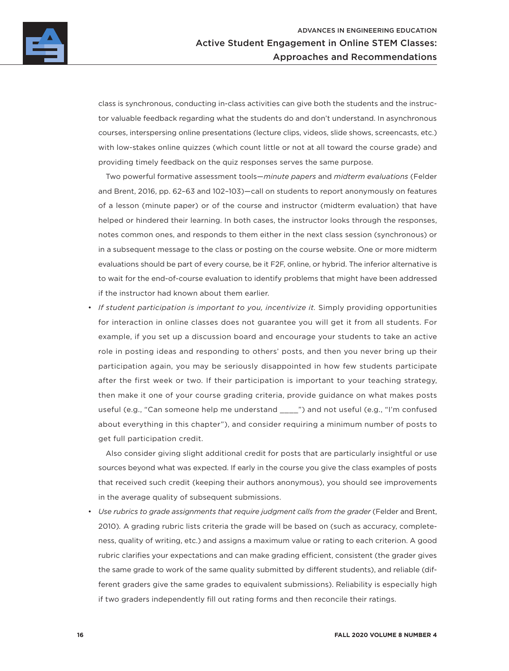

class is synchronous, conducting in-class activities can give both the students and the instructor valuable feedback regarding what the students do and don't understand. In asynchronous courses, interspersing online presentations (lecture clips, videos, slide shows, screencasts, etc.) with low-stakes online quizzes (which count little or not at all toward the course grade) and providing timely feedback on the quiz responses serves the same purpose.

Two powerful formative assessment tools—*minute papers* and *midterm evaluations* (Felder and Brent, 2016, pp. 62–63 and 102–103)—call on students to report anonymously on features of a lesson (minute paper) or of the course and instructor (midterm evaluation) that have helped or hindered their learning. In both cases, the instructor looks through the responses, notes common ones, and responds to them either in the next class session (synchronous) or in a subsequent message to the class or posting on the course website. One or more midterm evaluations should be part of every course, be it F2F, online, or hybrid. The inferior alternative is to wait for the end-of-course evaluation to identify problems that might have been addressed if the instructor had known about them earlier.

• *If student participation is important to you, incentivize it.* Simply providing opportunities for interaction in online classes does not guarantee you will get it from all students. For example, if you set up a discussion board and encourage your students to take an active role in posting ideas and responding to others' posts, and then you never bring up their participation again, you may be seriously disappointed in how few students participate after the first week or two. If their participation is important to your teaching strategy, then make it one of your course grading criteria, provide guidance on what makes posts useful (e.g., "Can someone help me understand \_\_\_\_") and not useful (e.g., "I'm confused about everything in this chapter"), and consider requiring a minimum number of posts to get full participation credit.

Also consider giving slight additional credit for posts that are particularly insightful or use sources beyond what was expected. If early in the course you give the class examples of posts that received such credit (keeping their authors anonymous), you should see improvements in the average quality of subsequent submissions.

Use rubrics to grade assignments that require judgment calls from the grader (Felder and Brent, 2010)*.* A grading rubric lists criteria the grade will be based on (such as accuracy, completeness, quality of writing, etc.) and assigns a maximum value or rating to each criterion. A good rubric clarifies your expectations and can make grading efficient, consistent (the grader gives the same grade to work of the same quality submitted by different students), and reliable (different graders give the same grades to equivalent submissions). Reliability is especially high if two graders independently fill out rating forms and then reconcile their ratings.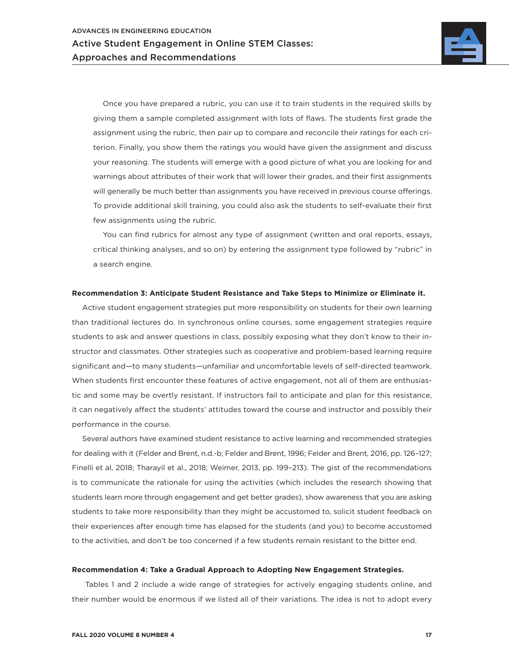

Once you have prepared a rubric, you can use it to train students in the required skills by giving them a sample completed assignment with lots of flaws. The students first grade the assignment using the rubric, then pair up to compare and reconcile their ratings for each criterion. Finally, you show them the ratings you would have given the assignment and discuss your reasoning. The students will emerge with a good picture of what you are looking for and warnings about attributes of their work that will lower their grades, and their first assignments will generally be much better than assignments you have received in previous course offerings. To provide additional skill training, you could also ask the students to self-evaluate their first few assignments using the rubric.

You can find rubrics for almost any type of assignment (written and oral reports, essays, critical thinking analyses, and so on) by entering the assignment type followed by "rubric" in a search engine.

### **Recommendation 3: Anticipate Student Resistance and Take Steps to Minimize or Eliminate it.**

Active student engagement strategies put more responsibility on students for their own learning than traditional lectures do. In synchronous online courses, some engagement strategies require students to ask and answer questions in class, possibly exposing what they don't know to their instructor and classmates. Other strategies such as cooperative and problem-based learning require significant and—to many students—unfamiliar and uncomfortable levels of self-directed teamwork. When students first encounter these features of active engagement, not all of them are enthusiastic and some may be overtly resistant. If instructors fail to anticipate and plan for this resistance, it can negatively affect the students' attitudes toward the course and instructor and possibly their performance in the course.

Several authors have examined student resistance to active learning and recommended strategies for dealing with it (Felder and Brent, n.d.-b; Felder and Brent, 1996; Felder and Brent, 2016, pp. 126–127; Finelli et al, 2018; Tharayil et al., 2018; Weimer, 2013, pp. 199–213). The gist of the recommendations is to communicate the rationale for using the activities (which includes the research showing that students learn more through engagement and get better grades), show awareness that you are asking students to take more responsibility than they might be accustomed to, solicit student feedback on their experiences after enough time has elapsed for the students (and you) to become accustomed to the activities, and don't be too concerned if a few students remain resistant to the bitter end.

#### **Recommendation 4: Take a Gradual Approach to Adopting New Engagement Strategies.**

 Tables 1 and 2 include a wide range of strategies for actively engaging students online, and their number would be enormous if we listed all of their variations. The idea is not to adopt every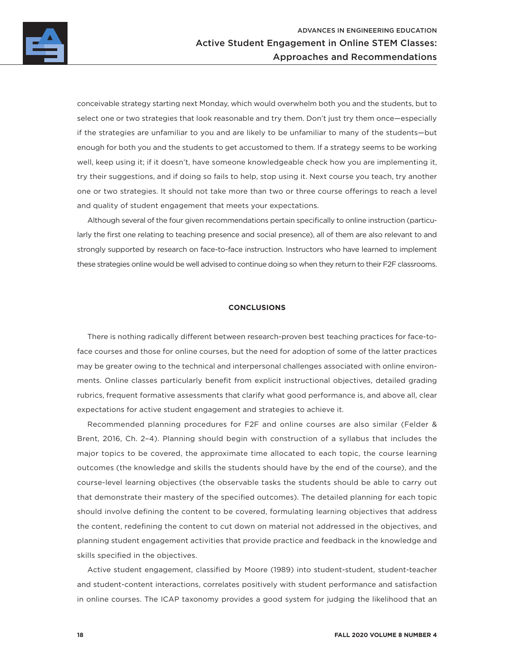

conceivable strategy starting next Monday, which would overwhelm both you and the students, but to select one or two strategies that look reasonable and try them. Don't just try them once—especially if the strategies are unfamiliar to you and are likely to be unfamiliar to many of the students—but enough for both you and the students to get accustomed to them. If a strategy seems to be working well, keep using it; if it doesn't, have someone knowledgeable check how you are implementing it, try their suggestions, and if doing so fails to help, stop using it. Next course you teach, try another one or two strategies. It should not take more than two or three course offerings to reach a level and quality of student engagement that meets your expectations.

Although several of the four given recommendations pertain specifically to online instruction (particularly the first one relating to teaching presence and social presence), all of them are also relevant to and strongly supported by research on face-to-face instruction. Instructors who have learned to implement these strategies online would be well advised to continue doing so when they return to their F2F classrooms.

### **CONCLUSIONS**

There is nothing radically different between research-proven best teaching practices for face-toface courses and those for online courses, but the need for adoption of some of the latter practices may be greater owing to the technical and interpersonal challenges associated with online environments. Online classes particularly benefit from explicit instructional objectives, detailed grading rubrics, frequent formative assessments that clarify what good performance is, and above all, clear expectations for active student engagement and strategies to achieve it.

Recommended planning procedures for F2F and online courses are also similar (Felder & Brent, 2016, Ch. 2–4). Planning should begin with construction of a syllabus that includes the major topics to be covered, the approximate time allocated to each topic, the course learning outcomes (the knowledge and skills the students should have by the end of the course), and the course-level learning objectives (the observable tasks the students should be able to carry out that demonstrate their mastery of the specified outcomes). The detailed planning for each topic should involve defining the content to be covered, formulating learning objectives that address the content, redefining the content to cut down on material not addressed in the objectives, and planning student engagement activities that provide practice and feedback in the knowledge and skills specified in the objectives.

Active student engagement, classified by Moore (1989) into student-student, student-teacher and student-content interactions, correlates positively with student performance and satisfaction in online courses. The ICAP taxonomy provides a good system for judging the likelihood that an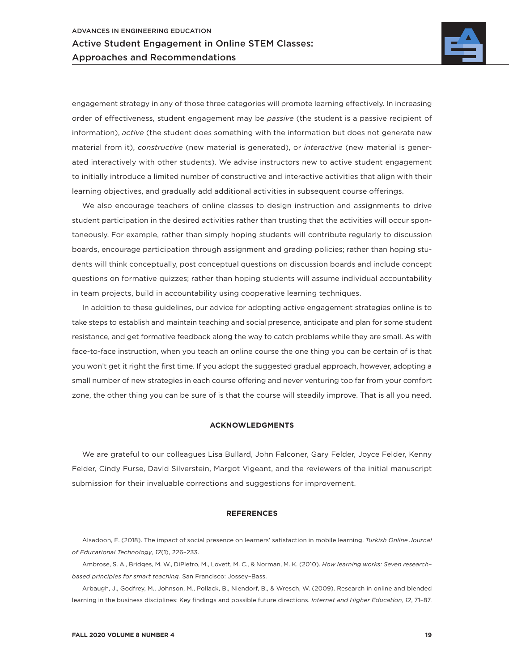

engagement strategy in any of those three categories will promote learning effectively. In increasing order of effectiveness, student engagement may be *passive* (the student is a passive recipient of information), *active* (the student does something with the information but does not generate new material from it), *constructive* (new material is generated), or *interactive* (new material is generated interactively with other students). We advise instructors new to active student engagement to initially introduce a limited number of constructive and interactive activities that align with their learning objectives, and gradually add additional activities in subsequent course offerings.

We also encourage teachers of online classes to design instruction and assignments to drive student participation in the desired activities rather than trusting that the activities will occur spontaneously. For example, rather than simply hoping students will contribute regularly to discussion boards, encourage participation through assignment and grading policies; rather than hoping students will think conceptually, post conceptual questions on discussion boards and include concept questions on formative quizzes; rather than hoping students will assume individual accountability in team projects, build in accountability using cooperative learning techniques.

In addition to these guidelines, our advice for adopting active engagement strategies online is to take steps to establish and maintain teaching and social presence, anticipate and plan for some student resistance, and get formative feedback along the way to catch problems while they are small. As with face-to-face instruction, when you teach an online course the one thing you can be certain of is that you won't get it right the first time. If you adopt the suggested gradual approach, however, adopting a small number of new strategies in each course offering and never venturing too far from your comfort zone, the other thing you can be sure of is that the course will steadily improve. That is all you need.

### **ACKNOWLEDGMENTS**

We are grateful to our colleagues Lisa Bullard, John Falconer, Gary Felder, Joyce Felder, Kenny Felder, Cindy Furse, David Silverstein, Margot Vigeant, and the reviewers of the initial manuscript submission for their invaluable corrections and suggestions for improvement.

### **REFERENCES**

Alsadoon, E. (2018). The impact of social presence on learners' satisfaction in mobile learning. *Turkish Online Journal of Educational Technology*, *17*(1), 226–233.

Ambrose, S. A., Bridges, M. W., DiPietro, M., Lovett, M. C., & Norman, M. K. (2010). *How learning works: Seven research– based principles for smart teaching.* San Francisco: Jossey–Bass.

Arbaugh, J., Godfrey, M., Johnson, M., Pollack, B., Niendorf, B., & Wresch, W. (2009). Research in online and blended learning in the business disciplines: Key findings and possible future directions. *Internet and Higher Education, 12*, 71–87.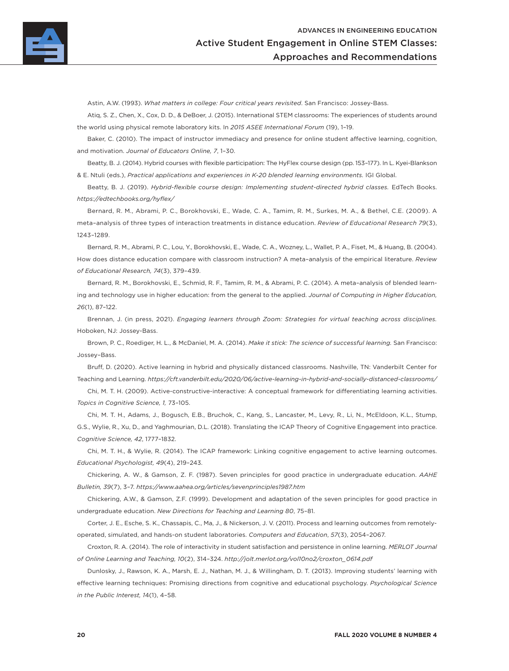

Astin, A.W. (1993). *What matters in college: Four critical years revisited*. San Francisco: Jossey-Bass.

Atiq, S. Z., Chen, X., Cox, D. D., & DeBoer, J. (2015). International STEM classrooms: The experiences of students around the world using physical remote laboratory kits. In *2015 ASEE International Forum* (19), 1–19.

Baker, C. (2010). The impact of instructor immediacy and presence for online student affective learning, cognition, and motivation. *Journal of Educators Online, 7*, 1–30.

Beatty, B. J. (2014). Hybrid courses with flexible participation: The HyFlex course design (pp. 153–177). In L. Kyei-Blankson & E. Ntuli (eds.), *Practical applications and experiences in K-20 blended learning environments.* IGI Global.

Beatty, B. J. (2019). *Hybrid-flexible course design: Implementing student-directed hybrid classes.* EdTech Books. *<https://edtechbooks.org/hyflex/>*

Bernard, R. M., Abrami, P. C., Borokhovski, E., Wade, C. A., Tamim, R. M., Surkes, M. A., & Bethel, C.E. (2009). A meta–analysis of three types of interaction treatments in distance education. *Review of Educational Research 79*(3), 1243–1289.

Bernard, R. M., Abrami, P. C., Lou, Y., Borokhovski, E., Wade, C. A., Wozney, L., Wallet, P. A., Fiset, M., & Huang, B. (2004). How does distance education compare with classroom instruction? A meta–analysis of the empirical literature. *Review of Educational Research, 74*(3), 379–439.

Bernard, R. M., Borokhovski, E., Schmid, R. F., Tamim, R. M., & Abrami, P. C. (2014). A meta–analysis of blended learning and technology use in higher education: from the general to the applied. *Journal of Computing in Higher Education, 26*(1), 87–122.

Brennan, J. (in press, 2021). *Engaging learners through Zoom: Strategies for virtual teaching across disciplines.*  Hoboken, NJ: Jossey-Bass.

Brown, P. C., Roediger, H. L., & McDaniel, M. A. (2014). *Make it stick: The science of successful learning.* San Francisco: Jossey–Bass.

Bruff, D. (2020). Active learning in hybrid and physically distanced classrooms. Nashville, TN: Vanderbilt Center for Teaching and Learning. *<https://cft.vanderbilt.edu/2020/06/active-learning-in-hybrid-and-socially-distanced-classrooms/>*

Chi, M. T. H. (2009). Active-constructive-interactive: A conceptual framework for differentiating learning activities. *Topics in Cognitive Science, 1,* 73–105.

Chi, M. T. H., Adams, J., Bogusch, E.B., Bruchok, C., Kang, S., Lancaster, M., Levy, R., Li, N., McEldoon, K.L., Stump, G.S., Wylie, R., Xu, D., and Yaghmourian, D.L. (2018). Translating the ICAP Theory of Cognitive Engagement into practice. *Cognitive Science, 42*, 1777–1832.

Chi, M. T. H., & Wylie, R. (2014). The ICAP framework: Linking cognitive engagement to active learning outcomes. *Educational Psychologist, 49*(4), 219–243.

Chickering, A. W., & Gamson, Z. F. (1987). Seven principles for good practice in undergraduate education. *AAHE Bulletin, 39*(7), 3–7. *<https://www.aahea.org/articles/sevenprinciples1987.htm>*

Chickering, A.W., & Gamson, Z.F. (1999). Development and adaptation of the seven principles for good practice in undergraduate education. *New Directions for Teaching and Learning 80*, 75–81.

Corter, J. E., Esche, S. K., Chassapis, C., Ma, J., & Nickerson, J. V. (2011). Process and learning outcomes from remotelyoperated, simulated, and hands-on student laboratories. *Computers and Education*, *57*(3), 2054–2067.

Croxton, R. A. (2014). The role of interactivity in student satisfaction and persistence in online learning. *MERLOT Journal of Online Learning and Teaching, 10*(2), 314–324. *[http://jolt.merlot.org/vol10no2/croxton\\_0614.pdf](http://jolt.merlot.org/vol10no2/croxton_0614.pdf)*

Dunlosky, J., Rawson, K. A., Marsh, E. J., Nathan, M. J., & Willingham, D. T. (2013). Improving students' learning with effective learning techniques: Promising directions from cognitive and educational psychology. *Psychological Science in the Public Interest, 1*4(1), 4–58.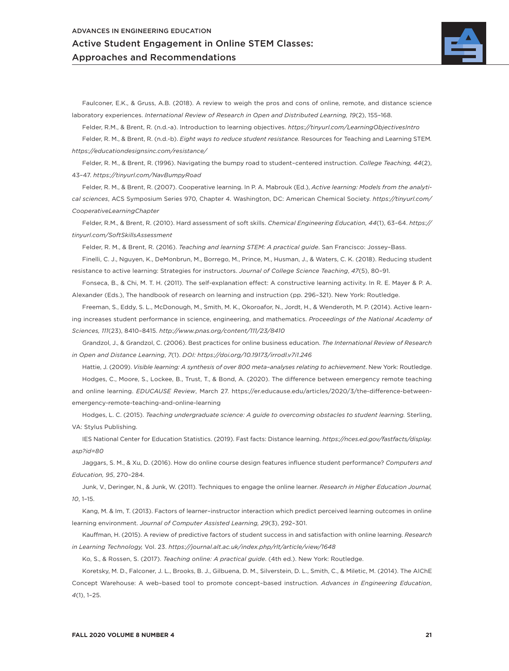

Faulconer, E.K., & Gruss, A.B. (2018). A review to weigh the pros and cons of online, remote, and distance science laboratory experiences. *International Review of Research in Open and Distributed Learning, 19*(2), 155–168.

Felder, R.M., & Brent, R. (n.d.-a). Introduction to learning objectives. *<https://tinyurl.com/LearningObjectivesIntro>*

Felder, R. M., & Brent, R. (n.d.-b). *Eight ways to reduce student resistance.* Resources for Teaching and Learning STEM*. <https://educationdesignsinc.com/resistance/>*

Felder, R. M., & Brent, R. (1996). Navigating the bumpy road to student–centered instruction. *College Teaching, 44*(2), 43–47. *<https://tinyurl.com/NavBumpyRoad>*

Felder, R. M., & Brent, R. (2007). Cooperative learning. In P. A. Mabrouk (Ed.), *Active learning: Models from the analytical sciences*, ACS Symposium Series 970, Chapter 4. Washington, DC: American Chemical Society. *[https://tinyurl.com/](https://tinyurl.com/CooperativeLearningChapter) [CooperativeLearningChapter](https://tinyurl.com/CooperativeLearningChapter)*

Felder, R.M., & Brent, R. (2010). Hard assessment of soft skills. *Chemical Engineering Education, 44*(1), 63–64. *[https://](https://tinyurl.com/SoftSkillsAssessment) [tinyurl.com/SoftSkillsAssessment](https://tinyurl.com/SoftSkillsAssessment)*

Felder, R. M., & Brent, R. (2016). *Teaching and learning STEM: A practical guide*. San Francisco: Jossey–Bass.

Finelli, C. J., Nguyen, K., DeMonbrun, M., Borrego, M., Prince, M., Husman, J., & Waters, C. K. (2018). Reducing student resistance to active learning: Strategies for instructors. *Journal of College Science Teaching*, *47*(5), 80–91.

Fonseca, B., & Chi, M. T. H. (2011). The self-explanation effect: A constructive learning activity. In R. E. Mayer & P. A. Alexander (Eds.), The handbook of research on learning and instruction (pp. 296–321). New York: Routledge.

Freeman, S., Eddy, S. L., McDonough, M., Smith, M. K., Okoroafor, N., Jordt, H., & Wenderoth, M. P. (2014). Active learning increases student performance in science, engineering, and mathematics. *Proceedings of the National Academy of Sciences, 111*(23), 8410–8415. *<http://www.pnas.org/content/111/23/8410>*

Grandzol, J., & Grandzol, C. (2006). Best practices for online business education. *The International Review of Research in Open and Distance Learning*, *7*(1). *DOI: <https://doi.org/10.19173/irrodl.v7i1.246>*

Hattie, J. (2009). *Visible learning: A synthesis of over 800 meta–analyses relating to achievement*. New York: Routledge. Hodges, C., Moore, S., Lockee, B., Trust, T., & Bond, A. (2020). The difference between emergency remote teaching and online learning. *EDUCAUSE Review*, March 27. [https://er.educause.edu/articles/2020/3/the-difference-between](https://er.educause.edu/articles/2020/3/the-difference-between-emergency-remote-teaching-and-online-learning)[emergency-remote-teaching-and-online-learning](https://er.educause.edu/articles/2020/3/the-difference-between-emergency-remote-teaching-and-online-learning)

Hodges, L. C. (2015). *Teaching undergraduate science: A guide to overcoming obstacles to student learning.* Sterling, VA: Stylus Publishing.

IES National Center for Education Statistics. (2019). Fast facts: Distance learning. *[https://nces.ed.gov/fastfacts/display.](https://nces.ed.gov/fastfacts/display.asp?id=80) [asp?id=80](https://nces.ed.gov/fastfacts/display.asp?id=80)*

Jaggars, S. M., & Xu, D. (2016). How do online course design features influence student performance? *Computers and Education, 95*, 270–284.

Junk, V., Deringer, N., & Junk, W. (2011). Techniques to engage the online learner. *Research in Higher Education Journal, 10*, 1–15.

Kang, M. & Im, T. (2013). Factors of learner–instructor interaction which predict perceived learning outcomes in online learning environment. *Journal of Computer Assisted Learning, 29*(3), 292–301.

Kauffman, H. (2015). A review of predictive factors of student success in and satisfaction with online learning. *Research in Learning Technology,* Vol. 23. *<https://journal.alt.ac.uk/index.php/rlt/article/view/1648>*

Ko, S., & Rossen, S. (2017). *Teaching online: A practical guide*. (4th ed.). New York: Routledge.

Koretsky, M. D., Falconer, J. L., Brooks, B. J., Gilbuena, D. M., Silverstein, D. L., Smith, C., & Miletic, M. (2014). The AIChE Concept Warehouse: A web–based tool to promote concept–based instruction. *Advances in Engineering Education*, *4*(1), 1–25.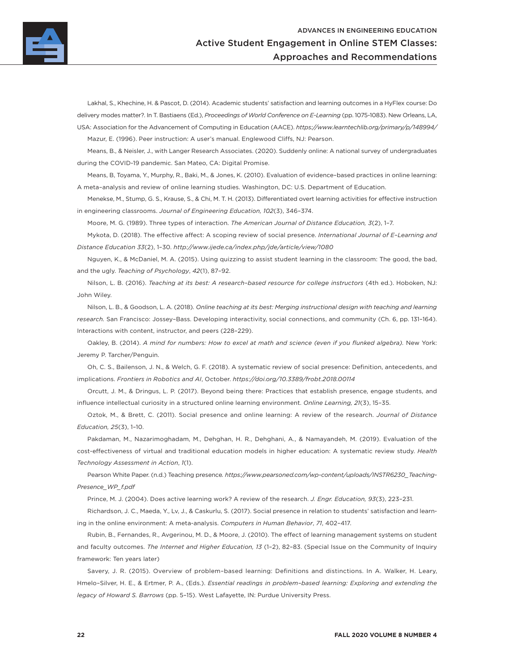

Lakhal, S., Khechine, H. & Pascot, D. (2014). Academic students' satisfaction and learning outcomes in a HyFlex course: Do delivery modes matter?. In T. Bastiaens (Ed.), *Proceedings of World Conference on E-Learning* (pp. 1075-1083). New Orleans, LA, USA: Association for the Advancement of Computing in Education (AACE). *<https://www.learntechlib.org/primary/p/148994/>* Mazur, E. (1996). Peer instruction: A user's manual. Englewood Cliffs, NJ: Pearson.

Means, B., & Neisler, J., with Langer Research Associates. (2020). Suddenly online: A national survey of undergraduates

during the COVID-19 pandemic. San Mateo, CA: Digital Promise.

Means, B, Toyama, Y., Murphy, R., Baki, M., & Jones, K. (2010). Evaluation of evidence–based practices in online learning: A meta–analysis and review of online learning studies. Washington, DC: U.S. Department of Education.

Menekse, M., Stump, G. S., Krause, S., & Chi, M. T. H. (2013). Differentiated overt learning activities for effective instruction in engineering classrooms. *Journal of Engineering Education, 102*(3), 346–374.

Moore, M. G. (1989). Three types of interaction. *The American Journal of Distance Education, 3*(2), 1–7.

Mykota, D. (2018). The effective affect: A scoping review of social presence. *International Journal of E–Learning and Distance Education 33*(2), 1–30. *<http://www.ijede.ca/index.php/jde/article/view/1080>*

Nguyen, K., & McDaniel, M. A. (2015). Using quizzing to assist student learning in the classroom: The good, the bad, and the ugly. *Teaching of Psychology*, *42*(1), 87–92.

Nilson, L. B. (2016). *Teaching at its best: A research–based resource for college instructors* (4th ed.). Hoboken, NJ: John Wiley.

Nilson, L. B., & Goodson, L. A. (2018)*. Online teaching at its best: Merging instructional design with teaching and learning research.* San Francisco: Jossey–Bass. Developing interactivity, social connections, and community (Ch. 6, pp. 131–164). Interactions with content, instructor, and peers (228–229).

Oakley, B. (2014). *A mind for numbers: How to excel at math and science (even if you flunked algebra).* New York: Jeremy P. Tarcher/Penguin.

Oh, C. S., Bailenson, J. N., & Welch, G. F. (2018). A systematic review of social presence: Definition, antecedents, and implications. *Frontiers in Robotics and AI*, October. *<https://doi.org/10.3389/frobt.2018.00114>*

Orcutt, J. M., & Dringus, L. P. (2017). Beyond being there: Practices that establish presence, engage students, and influence intellectual curiosity in a structured online learning environment. *Online Learning, 21*(3), 15–35.

Oztok, M., & Brett, C. (2011). Social presence and online learning: A review of the research. *Journal of Distance Education, 25*(3), 1–10.

Pakdaman, M., Nazarimoghadam, M., Dehghan, H. R., Dehghani, A., & Namayandeh, M. (2019). Evaluation of the cost-effectiveness of virtual and traditional education models in higher education: A systematic review study. *Health Technology Assessment in Action*, *1*(1).

Pearson White Paper. (n.d.) Teaching presence*. [https://www.pearsoned.com/wp-content/uploads/INSTR6230\\_Teaching-](https://www.pearsoned.com/wp-content/uploads/INSTR6230_TeachingPresence_WP_f.pdf)[Presence\\_WP\\_f.pdf](https://www.pearsoned.com/wp-content/uploads/INSTR6230_TeachingPresence_WP_f.pdf)*

Prince, M. J. (2004). Does active learning work? A review of the research. *J. Engr. Education, 93*(3), 223–231.

Richardson, J. C., Maeda, Y., Lv, J., & Caskurlu, S. (2017). Social presence in relation to students' satisfaction and learning in the online environment: A meta-analysis. *Computers in Human Behavior*, *71*, 402–417.

Rubin, B., Fernandes, R., Avgerinou, M. D., & Moore, J. (2010). The effect of learning management systems on student and faculty outcomes. *The Internet and Higher Education, 13* (1–2), 82–83. (Special Issue on the Community of Inquiry framework: Ten years later)

Savery, J. R. (2015). Overview of problem–based learning: Definitions and distinctions. In A. Walker, H. Leary, Hmelo–Silver, H. E., & Ertmer, P. A., (Eds.). *Essential readings in problem–based learning: Exploring and extending the legacy of Howard S. Barrows* (pp. 5–15). West Lafayette, IN: Purdue University Press.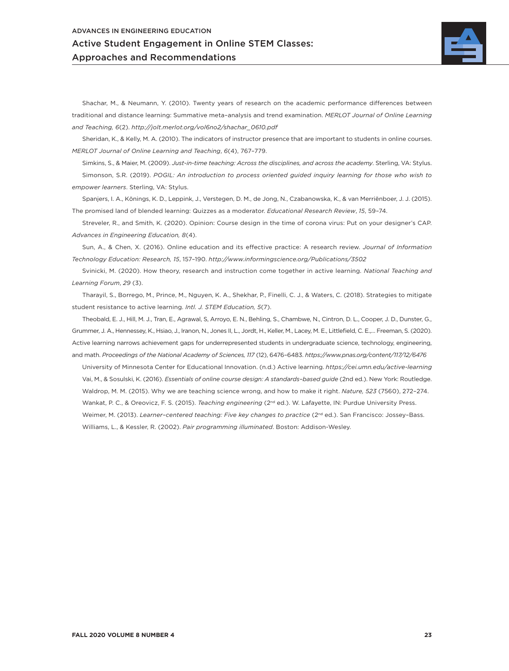

Shachar, M., & Neumann, Y. (2010). Twenty years of research on the academic performance differences between traditional and distance learning: Summative meta–analysis and trend examination. *MERLOT Journal of Online Learning and Teaching, 6*(2). *[http://jolt.merlot.org/vol6no2/shachar\\_0610.pdf](http://jolt.merlot.org/vol6no2/shachar_0610.pdf)*

Sheridan, K., & Kelly, M. A. (2010). The indicators of instructor presence that are important to students in online courses. *MERLOT Journal of Online Learning and Teaching*, *6*(4), 767–779.

Simkins, S., & Maier, M. (2009). *Just-in-time teaching: Across the disciplines, and across the academy*. Sterling, VA: Stylus. Simonson, S.R. (2019). *POGIL: An introduction to process oriented guided inquiry learning for those who wish to empower learners*. Sterling, VA: Stylus.

Spanjers, I. A., Könings, K. D., Leppink, J., Verstegen, D. M., de Jong, N., Czabanowska, K., & van Merriënboer, J. J. (2015). The promised land of blended learning: Quizzes as a moderator. *Educational Research Review*, *15*, 59–74.

Streveler, R., and Smith, K. (2020). Opinion: Course design in the time of corona virus: Put on your designer's CAP. *Advances in Engineering Education, 8*(4).

Sun, A., & Chen, X. (2016). Online education and its effective practice: A research review. *Journal of Information Technology Education: Research, 15*, 157–190. *<http://www.informingscience.org/Publications/3502>*

Svinicki, M. (2020). How theory, research and instruction come together in active learning. *National Teaching and Learning Forum*, *29* (3).

Tharayil, S., Borrego, M., Prince, M., Nguyen, K. A., Shekhar, P., Finelli, C. J., & Waters, C. (2018). Strategies to mitigate student resistance to active learning. *Intl. J. STEM Education, 5*(7).

Theobald, E. J., Hill, M. J., Tran, E., Agrawal, S, Arroyo, E. N., Behling, S., Chambwe, N., Cintron, D. L., Cooper, J. D., Dunster, G., Grummer, J. A., Hennessey, K., Hsiao, J., Iranon, N., Jones II, L., Jordt, H., Keller, M., Lacey, M. E., Littlefield, C. E.,… Freeman, S. (2020). Active learning narrows achievement gaps for underrepresented students in undergraduate science, technology, engineering, and math. *Proceedings of the National Academy of Sciences, 117* (12), 6476–6483. *<https://www.pnas.org/content/117/12/6476>*

University of Minnesota Center for Educational Innovation. (n.d.) Active learning. *https://cei.umn.edu/active-learning* Vai, M., & Sosulski, K. (2016). *Essentials of online course design: A standards–based guide* (2nd ed.). New York: Routledge. Waldrop, M. M. (2015). Why we are teaching science wrong, and how to make it right. *Nature, 523* (7560), 272–274. Wankat, P. C., & Oreovicz, F. S. (2015). *Teaching engineering* (2nd ed.). W. Lafayette, IN: Purdue University Press. Weimer, M. (2013). *Learner-centered teaching: Five key changes to practice* (2<sup>nd</sup> ed.). San Francisco: Jossey-Bass. Williams, L., & Kessler, R. (2002). *Pair programming illuminated*. Boston: Addison-Wesley.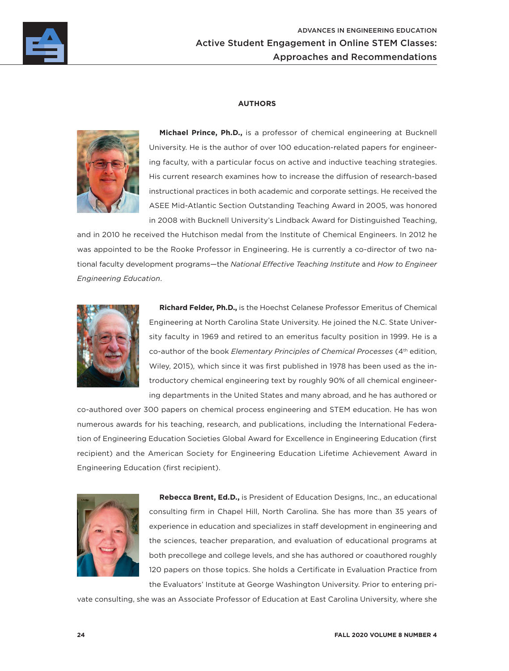

### **AUTHORS**



**Michael Prince, Ph.D.,** is a professor of chemical engineering at Bucknell University. He is the author of over 100 education-related papers for engineering faculty, with a particular focus on active and inductive teaching strategies. His current research examines how to increase the diffusion of research-based instructional practices in both academic and corporate settings. He received the ASEE Mid-Atlantic Section Outstanding Teaching Award in 2005, was honored in 2008 with Bucknell University's Lindback Award for Distinguished Teaching,

and in 2010 he received the Hutchison medal from the Institute of Chemical Engineers. In 2012 he was appointed to be the Rooke Professor in Engineering. He is currently a co-director of two national faculty development programs—the *National Effective Teaching Institute* and *How to Engineer Engineering Education*.



**Richard Felder, Ph.D.,** is the Hoechst Celanese Professor Emeritus of Chemical Engineering at North Carolina State University. He joined the N.C. State University faculty in 1969 and retired to an emeritus faculty position in 1999. He is a co-author of the book *Elementary Principles of Chemical Processes* (4th edition, Wiley, 2015)*,* which since it was first published in 1978 has been used as the introductory chemical engineering text by roughly 90% of all chemical engineering departments in the United States and many abroad, and he has authored or

co-authored over 300 papers on chemical process engineering and STEM education. He has won numerous awards for his teaching, research, and publications, including the International Federation of Engineering Education Societies Global Award for Excellence in Engineering Education (first recipient) and the American Society for Engineering Education Lifetime Achievement Award in Engineering Education (first recipient).



**Rebecca Brent, Ed.D.,** is President of Education Designs, Inc., an educational consulting firm in Chapel Hill, North Carolina. She has more than 35 years of experience in education and specializes in staff development in engineering and the sciences, teacher preparation, and evaluation of educational programs at both precollege and college levels, and she has authored or coauthored roughly 120 papers on those topics. She holds a Certificate in Evaluation Practice from the Evaluators' Institute at George Washington University. Prior to entering pri-

vate consulting, she was an Associate Professor of Education at East Carolina University, where she